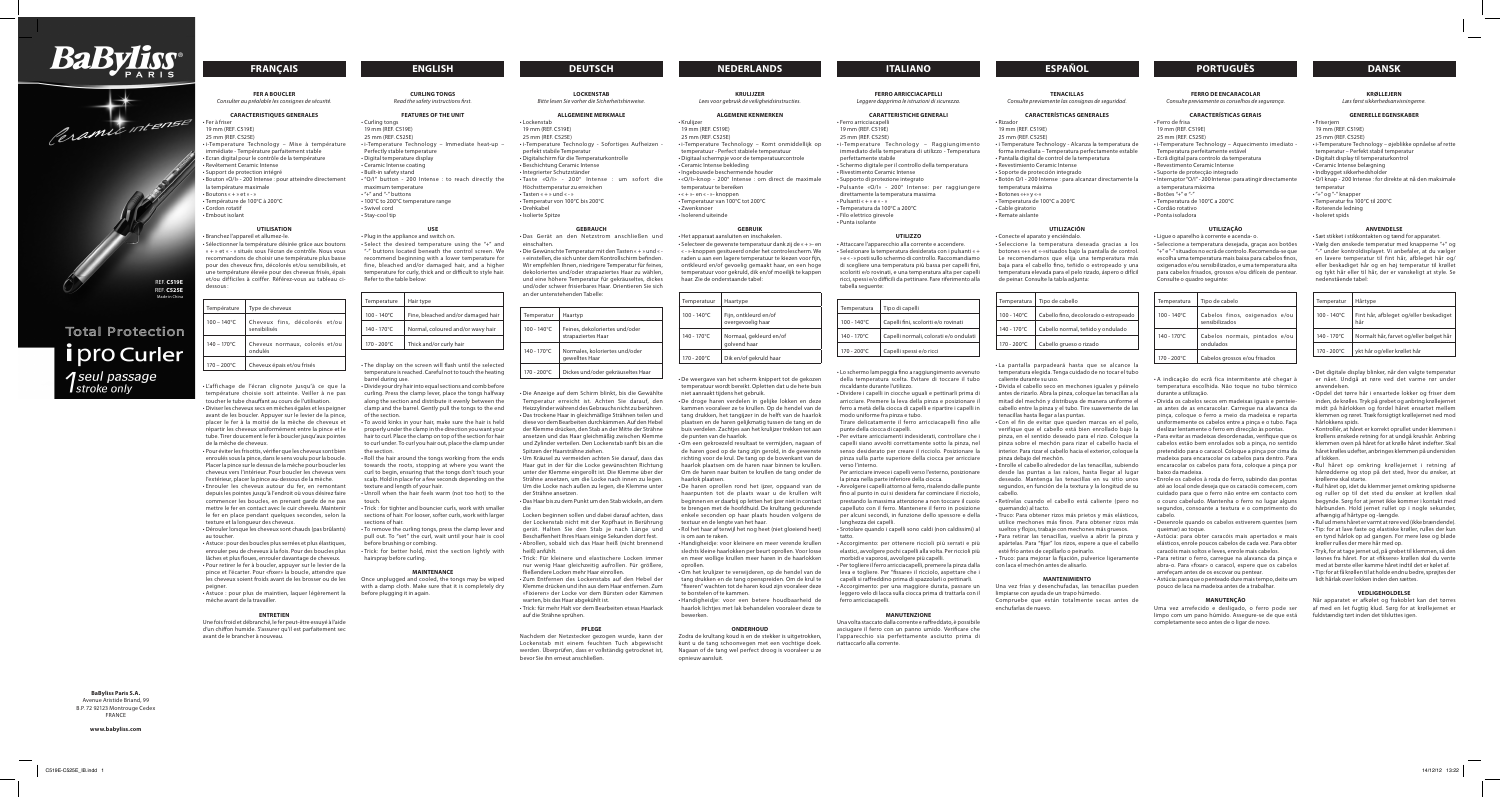# **français english deutsch nederlands italiano ESPAÑOL portuguès dansk**

### **FER A BOUCLER** *Consulter au préalable les consignes de sécurité.*

**CARACTERISTIQUES GENERALES**

• Branchez l'appareil et allumez-le. • Sélectionner la température désirée grâce aux boutons « + » et « - » situés sous l'écran de contrôle. Nous vous recommandons de choisir une température plus basse pour des cheveux fins, décolorés et/ou sensibilisés, et une température élevée pour des cheveux frisés, épais et/ou difficiles à coiffer. Référez-vous au tableau cidessous

- Fer à friser 19 mm (REF. C519E) 25 mm (REF. C525E) • i-Temperature Technology – Mise à température immédiate - Température parfaitement stable • Ecran digital pour le contrôle de la température • Revêtement Ceramic Intense • Support de protection intégré • Bouton «O/I» - 200 Intense : pour atteindre directement la température maximale • Boutons « + » et « - » • Température de 100°C à 200°C • Cordon rotatif
- Embout isolant

## **UTILISATION**

| Type de cheveux                               |  |  |  |
|-----------------------------------------------|--|--|--|
| Cheveux fins, décolorés et/ou<br>sensibilisés |  |  |  |
| Cheveux normaux, colorés et/ou<br>ondulés     |  |  |  |
| Cheveux épais et/ou frisés                    |  |  |  |
|                                               |  |  |  |

• L'affichage de l'écran clignote jusqu'à ce que la température choisie soit atteinte. Veiller à ne pas toucher le tube chauffant au cours de l'utilisation.

• Diviser les cheveux secs en mèches égales et les peigner avant de les boucler. Appuyer sur le levier de la pince, placer le fer à la moitié de la mèche de cheveux et répartir les cheveux uniformément entre la pince et le tube. Tirer doucement le fer à boucler jusqu'aux pointes de la mèche de cheveux.

• Pour éviter les frisottis, vérifier que les cheveux sont bien enroulés sous la pince, dans le sens voulu pour la boucle. Placer la pince sur le dessus de la mèche pour boucler les cheveux vers l'intérieur. Pour boucler les cheveux vers l'extérieur, placer la pince au-dessous de la mèche.

• Enrouler les cheveux autour du fer, en remontant depuis les pointes jusqu'à l'endroit où vous désirez faire commencer les boucles, en prenant garde de ne pas mettre le fer en contact avec le cuir chevelu. Maintenir le fer en place pendant quelques secondes, selon la texture et la longueur des cheveux.

• Dérouler lorsque les cheveux sont chauds (pas brûlants) au toucher.

• Astuce : pour des boucles plus serrées et plus élastiques, enrouler peu de cheveux à la fois. Pour des boucles plus lâches et plus floues, enrouler davantage de cheveux. • Pour retirer le fer à boucler, appuyer sur le levier de la pince et l'écarter. Pour «fixer» la boucle, attendre que les cheveux soient froids avant de les brosser ou de les peigner.

• Astuce : pour plus de maintien, laquer légèrement la mèche avant de la travailler.

## **ENTRETIEN**

Une fois froid et débranché, le fer peut-être essuyé à l'aide d'un chiffon humide. S'assurer qu'il est parfaitement sec avant de le brancher à nouveau.

**LOCKENSTAB** *Bitte lesen Sie vorher die Sicherheitshinweise.*

## **ALLGEMEINE MERKMALE**

• Ferro arricciacapell 19 mm (REF. C519E) 25 mm (REF. C525E) • i-Temperature Technology – Raggiungimento immediato della temperatura di utilizzo - Temperatura perfettamente stabile • Schermo digitale per il controllo della temperatura • Rivestimento Ceramic Intense • Supporto di protezione integrato • Pulsante «O/I» - 200° Intense: per raggiungere direttamente la temperatura massima • Pulsanti « + » e « - »

- Lockenstab 19 mm (REF. C519E)
- 25 mm (REF. C525E)
- i-Temperature Technology Sofortiges Aufheizen perfekt stabile Temperatur
- Digitalschirm für die Temperaturkontrolle
- Beschichtung Ceramic Intense
- Integrierter Schutzständer
- Taste «O/I» 200° Intense : um sofort die Höchsttemperatur zu erreichen
- Tasten « + » und « »
- Temperatur von 100°C bis 200°C
- Drehkabel
- Isolierte Spitze

## **GEBRAUCH**

• Das Gerät an den Netzstrom anschließen und einschalten.

• Die Gewünschte Temperatur mit den Tasten « + » und « - » einstellen, die sich unter dem Kontrollschirm befinden. Wir empfehlen Ihnen, niedrigere Temperatur für feines, dekoloriertes und/oder strapaziertes Haar zu wählen, und eine höhere Temperatur für gekräuseltes, dickes und/oder schwer frisierbares Haar. Orientieren Sie sich an der untenstehenden Tabelle:

| Temperatur            | Haartyp                                              |
|-----------------------|------------------------------------------------------|
| $100 - 140^{\circ}$ C | Feines, dekoloriertes und/oder<br>strapaziertes Haar |
| $140 - 170^{\circ}$ C | Normales, koloriertes und/oder<br>gewelltes Haar     |
| 170 - 200°C           | Dickes und/oder gekräuseltes Haar                    |

• Die Anzeige auf dem Schirm blinkt, bis die Gewählte Temperatur erreicht ist. Achten Sie darauf, den Heizzylinder während des Gebrauchs nicht zu berühren. • Das trockene Haar in gleichmäßige Strähnen teilen und diese vor dem Bearbeiten durchkämmen. Auf den Hebel der Klemme drücken, den Stab an der Mitte der Strähne ansetzen und das Haar gleichmäßig zwischen Klemme und Zylinder verteilen. Den Lockenstab sanft bis an die Spitzen der Haarsträhne ziehen.

• Um Kräusel zu vermeiden achten Sie darauf, dass das Haar gut in der für die Locke gewünschten Richtung unter der Klemme eingerollt ist. Die Klemme über der Strähne ansetzen, um die Locke nach innen zu legen. Um die Locke nach außen zu legen, die Klemme unter der Strähne ansetzen.

• Das Haar bis zu dem Punkt um den Stab wickeln, an dem die

Seleccione a temperatura desejada, graças aos botões "+" e "-" situados no ecrã de controlo. Recomenda-se que escolha uma temperatura mais baixa para cabelos finos, oxigenados e/ou sensibilizados, e uma temperatura alta para cabelos frisados, grossos e/ou difíceis de pentear. Consulte o quadro seguinte:

Locken beginnen sollen und dabei darauf achten, dass der Lockenstab nicht mit der Kopfhaut in Berührung gerät. Halten Sie den Stab je nach Länge und Beschaffenheit Ihres Haars einige Sekunden dort fest. • Abrollen, sobald sich das Haar heiß (nicht brennend heiß) anfühlt.

• Trick: Für kleinere und elastischere Locken immer nur wenig Haar gleichzeitig aufrollen. Für größere, fließendere Locken mehr Haar einrollen.

• Zum Entfernen des Lockenstabs auf den Hebel der Klemme drücken und ihn aus dem Haar entfernen. Zum «Fixieren» der Locke vor dem Bürsten oder Kämmen warten, bis das Haar abgekühlt ist.

• Enrole os cabelos à roda do ferro, subindo das pontas até ao local onde deseja que os caracóis comecem, com cuidado para que o ferro não entre em contacto com o couro cabeludo. Mantenha o ferro no lugar alguns segundos, consoante a textura e o comprimento do cabelo.

• Trick: für mehr Halt vor dem Bearbeiten etwas Haarlack auf die Strähne sprühen.

### **PFLEGE**

Nachdem der Netzstecker gezogen wurde, kann der Lockenstab mit einem feuchten Tuch abgewischt werden. Überprüfen, dass er vollständig getrocknet ist, bevor Sie ihn erneut anschließen.

## **FERRO ARRICCIACAPELLI**

*Leggere dapprima le istruzioni di sicurezza.*

## **CARATTERISTICHE GENERALI**

- Temperatura da 100°C a 200°C
- Filo elettrico girevole
- Punta isolante

### **UTILIZZO**

• Attaccare l'apparecchio alla corrente e accendere. • Selezionare la temperatura desiderata con i pulsanti « + » e « - » posti sullo schermo di controllo. Raccomandiamo di scegliere una temperatura più bassa per capelli fini, scoloriti e/o rovinati, e una temperatura alta per capelli ricci, spessi e/o difficili da pettinare. Fare riferimento alla tabella seguente:

• Trick : for tighter and bouncier curls, work with smalle sections of hair. For looser, softer curls, work with larger sections of hair.

|  | Temperatura           | Tipo di capelli                        |
|--|-----------------------|----------------------------------------|
|  | $100 - 140^{\circ}$ C | Capelli fini, scoloriti e/o rovinati   |
|  | $140 - 170^{\circ}$ C | Capelli normali, colorati e/o ondulati |
|  | $170 - 200^{\circ}$ C | Capelli spessi e/o ricci               |

• Lo schermo lampeggia fino a raggiungimento avvenuto della temperatura scelta. Evitare di toccare il tubo riscaldante durante l'utilizzo.

• Dividere i capelli in ciocche uguali e pettinarli prima di arricciare. Premere la leva della pinza e posizionare il ferro a metà della ciocca di capelli e ripartire i capelli in modo uniforme fra pinza e tubo.

Tirare delicatamente il ferro arricciacapelli fino alle punte della ciocca di capelli.

• Per evitare arricciamenti indesiderati, controllare che i capelli siano avvolti correttamente sotto la pinza, nel senso desiderato per creare il ricciolo. Posizionare la pinza sulla parte superiore della ciocca per arricciare verso l'interno.

Per arricciare invece i capelli verso l'esterno, posizionare la pinza nella parte inferiore della ciocca. • Avvolgere i capelli attorno al ferro, risalendo dalle punte

fino al punto in cui si desidera far cominciare il ricciolo, prestando la massima attenzione a non toccare il cuoio capelluto con il ferro. Mantenere il ferro in posizione per alcuni secondi, in funzione dello spessore e della lunghezza dei capelli.

• Srotolare quando i capelli sono caldi (non caldissimi) al tatto.

• Accorgimento: per ottenere riccioli più serrati e più elastici, avvolgere pochi capelli alla volta. Per riccioli più morbidi e vaporosi, avvolgere più capelli.

• Per togliere il ferro arricciacapelli, premere la pinza dalla leva e togliere. Per "fissare» il ricciolo, aspettare che i capelli si raffreddino prima di spazzolarli o pettinarli.

**MANUTENZIONE**

## Una volta staccato dalla corrente e raffreddato, è possibile asciugare il ferro con un panno umido. Verificare che l'apparecchio sia perfettamente asciutto prima di riattaccarlo alla corrente.

### **FERRO DE ENCARACOLAR** *Consulte previamente os conselhos de segurança.*

# **CARACTERÍSTICAS GERAIS**

- Ferro de frisa
- 19 mm (REF. C519E) 25 mm (REF. C525E)
- i-Temperature Technology Aquecimento imediato
- Temperatura perfeitamente estável
- Ecrã digital para controlo da temperatura
- Revestimento Ceramic Intense
- Suporte de protecção integrado
- Interruptor "O/I" 200 Intense : para atingir directamente a temperatura máxima
- Botões "+" e "-"
- Temperatura de 100°C a 200°C
- Cordão rotativo
- Ponta isoladora

### **UTILIZAÇÃO**

• Ligue o aparelho à corrente e acenda- o.

| Temperatura           | Tipo de cabelo                                   |  |
|-----------------------|--------------------------------------------------|--|
| $100 - 140^{\circ}$ C | Cabelos finos, oxigenados e/ou<br>sensibilizados |  |
| 140 - 170°C           | Cabelos normais, pintados e/ou<br>ondulados      |  |
| $170 - 200^{\circ}$ C | Cabelos grossos e/ou frisados                    |  |

• A indicação do ecrã fica intermitente até chegar à temperatura escolhida. Não toque no tubo térmico durante a utilização.

• Divida os cabelos secos em madeixas iguais e penteieas antes de as encaracolar. Carregue na alavanca da pinça, coloque o ferro a meio da madeixa e reparta uniformemente os cabelos entre a pinça e o tubo. Faça deslizar lentamente o ferro em direcção às pontas.

• Det digitale display blinker, når den valgte temperatur er nået. Undgå at røre ved det varme rør under anvendelsen.

• Para evitar as madeixas desordenadas, verifique que os cabelos estão bem enrolados sob a pinça, no sentido pretendido para o caracol. Coloque a pinça por cima da madeixa para encaracolar os cabelos para dentro. Para encaracolar os cabelos para fora, coloque a pinça por baixo da madeixa.

• Desenrole quando os cabelos estiverem quentes (sem queimar) ao toque.

• Astúcia: para obter caracóis mais apertados e mais elásticos, enrole poucos cabelos de cada vez. Para obter caracóis mais soltos e leves, enrole mais cabelos.

• Para retirar o ferro, carregue na alavanca da pinça e abra-o. Para «fixar» o caracol, espere que os cabelos arrefeçam antes de os escovar ou pentear.

• Astúcia: para que o penteado dure mais tempo, deite um pouco de laca na madeixa antes de a trabalhar.

### **MANUTENÇÃO**

Uma vez arrefecido e desligado, o ferro pode ser limpo com um pano húmido. Assegure-se de que está completamente seco antes de o ligar de novo.

**CURLING TONGS** *Read the safety instructions first.*

## **FEATURES OF THE UNIT**

- Curling tongs 19 mm (REF. C519E)
- 25 mm (REF. C525E) • i-Temperature Technology – Immediate heat-up –
- Perfectly stable temperature
- Digital temperature display
- Ceramic Intense coating • Built-in safety stand
- "O/I" button 200 Intense : to reach directly the
- maximum temperature
- $\cdot$  "+" and "-" buttons
- 100°C to 200°C temperature range • Swivel cord
- Stay-cool tip

# **USE**

• Plug in the appliance and switch on.

• Select the desired temperature using the "+" and "-" buttons located beneath the control screen. We recommend beginning with a lower temperature for fine, bleached and/or damaged hair, and a higher temperature for curly, thick and or difficult to style hair. Refer to the table below:

| Temperature           | Hair type                          |
|-----------------------|------------------------------------|
| $100 - 140^{\circ}$ C | Fine, bleached and/or damaged hair |
| 140 - 170°C           | Normal, coloured and/or wavy hair  |
| $170 - 200^{\circ}$ C | Thick and/or curly hair            |

• Accorgimento: per una maggiore durata, passare un leggero velo di lacca sulla ciocca prima di trattarla con il ferro arricciacapelli. • Handigheidje: voor een betere houdbaarheid de

• The display on the screen will flash until the selected temperature is reached. Careful not to touch the heating barrel during use.

• Divide your dry hair into equal sections and comb before curling. Press the clamp lever, place the tongs halfway along the section and distribute it evenly between the clamp and the barrel. Gently pull the tongs to the end of the section.

• To avoid kinks in your hair, make sure the hair is held properly under the clamp in the direction you want your hair to curl. Place the clamp on top of the section for hair to curl under. To curl you hair out, place the clamp under the section.

• Roll the hair around the tongs working from the ends towards the roots, stopping at where you want the curl to begin, ensuring that the tongs don't touch your scalp. Hold in place for a few seconds depending on the texture and length of your hair.

• Unroll when the hair feels warm (not too hot) to the touch.

• To remove the curling tongs, press the clamp lever and pull out. To "set" the curl, wait until your hair is cool before brushing or combing.

• Trick: for better hold, mist the section lightly with hairspray before curling.

## **MAINTENANCE**

Once unplugged and cooled, the tongs may be wiped with a damp cloth. Make sure that it is completely dry before plugging it in again.

**KRULIJZER**

## *Lees voor gebruik de veiligheidsinstructies.*

## **ALGEMENE KENMERKEN**

• Krulijzer 19 mm (REF. C519E)

- 25 mm (REF. C525E)
- i-Temperature Technology Komt onmiddellijk op
- temperatuur Perfect stabiele temperatuur • Digitaal schermpje voor de temperatuurcontrole
- Ceramic Intense bekleding
- Ingebouwde beschermende houder • «O/I»-knop - 200° Intense : om direct de maximale
- temperatuur te bereiken
- « + »- en « »- knoppen
- Temperatuur van 100°C tot 200°C
- Zwenksnoer
- Isolerend uiteinde

# **GEBRUIK**

• Het apparaat aansluiten en inschakelen. • Selecteer de gewenste temperatuur dank zij de « + »- en « - »-knoppen gesitueerd onder het controlescherm. We raden u aan een lagere temperatuur te kiezen voor fijn, ontkleurd en/of gevoelig gemaakt haar, en een hoge temperatuur voor gekruld, dik en/of moeilijk te kappen haar. Zie de onderstaande tabel:

| Temperatuur           | Haartype                                   |  |
|-----------------------|--------------------------------------------|--|
| $100 - 140^{\circ}$ C | Fijn, ontkleurd en/of<br>overgevoelig haar |  |
| $140 - 170^{\circ}$ C | Normaal, gekleurd en/of<br>golvend haar    |  |
| $170 - 200^{\circ}$ C | Dik en/of gekruld haar                     |  |

• De weergave van het scherm knippert tot de gekozen temperatuur wordt bereikt. Opletten dat u de hete buis niet aanraakt tijdens het gebruik.

• De droge haren verdelen in gelijke lokken en deze kammen vooraleer ze te krullen. Op de hendel van de tang drukken, het tangijzer in de helft van de haarlok plaatsen en de haren gelijkmatig tussen de tang en de buis verdelen. Zachtjes aan het krulijzer trekken tot aan de punten van de haarlok.

• Om een gekroezeld resultaat te vermijden, nagaan of de haren goed op de tang zijn gerold, in de gewenste richting voor de krul. De tang op de bovenkant van de haarlok plaatsen om de haren naar binnen te krullen. Om de haren naar buiten te krullen de tang onder de haarlok plaatsen.

• De haren oprollen rond het ijzer, opgaand van de haarpunten tot de plaats waar u de krullen wilt beginnen en er daarbij op letten het ijzer niet in contact te brengen met de hoofdhuid. De krultang gedurende enkele seconden op haar plaats houden volgens de textuur en de lengte van het haar.

• Rol het haar af terwijl het nog heet (niet gloeiend heet) is om aan te raken.

• Handigheidje: voor kleinere en meer verende krullen slechts kleine haarlokken per beurt oprollen. Voor losse en meer wollige krullen meer haren in de haarlokken oprollen.

• Om het krulijzer te verwijderen, op de hendel van de tang drukken en de tang openspreiden. Om de krul te "fixeren" wachten tot de haren koud zijn vooraleer deze te borstelen of te kammen.

haarlok lichtjes met lak behandelen vooraleer deze te

bewerken.

**ONDERHOUD** Zodra de krultang koud is en de stekker is uitgetrokken, kunt u de tang schoonvegen met een vochtige doek. Nagaan of de tang wel perfect droog is vooraleer u ze

opnieuw aansluit.

## **TENACILLAS**

*Consulte previamente las consignas de seguridad.*

## **CARACTERÍSTICAS GENERALES**

- Rizador 19 mm (REF. C519E)
- 25 mm (REF. C525E)
- i Temperature Technology Alcanza la temperatura de forma inmediata – Temperatura perfectamente estable • Pantalla digital de control de la temperatura • Revestimiento Ceramic Intense
- Soporte de protección integrado
- Botón O/I 200 Intense : para alcanzar directamente la temperatura máxima
- Botones «+» y «-»
- Temperatura de 100°C a 200°C
- Cable giratorio
- Remate aislante

## **UTILIZACIÓN**

• Conecte el aparato y enciéndalo. Seleccione la temperatura deseada gracias a los botones «+» et «-»situados bajo la pantalla de control. Le recomendamos que elija una temperatura más baja para el cabello fino, teñido o estropeado y una temperatura elevada para el pelo rizado, áspero o difícil de peinar. Consulte la tabla adjunta:

| Temperatura           | Tipo de cabello<br>Cabello fino, decolorado o estropeado |  |
|-----------------------|----------------------------------------------------------|--|
| $100 - 140^{\circ}$ C |                                                          |  |
| 140 - 170°C           | Cabello normal, teñido y ondulado                        |  |
| 170 - 200°C           | Cabello grueso o rizado                                  |  |

• La pantalla parpadeará hasta que se alcance la temperatura elegida. Tenga cuidado de no tocar el tubo caliente durante su uso.

• Divida el cabello seco en mechones iguales y péinelo antes de rizarlo. Abra la pinza, coloque las tenacillas a la mitad del mechón y distribuya de manera uniforme el cabello entre la pinza y el tubo. Tire suavemente de las tenacillas hasta llegar a las puntas.

• Con el fin de evitar que queden marcas en el pelo, verifique que el cabello está bien enrollado bajo la pinza, en el sentido deseado para el rizo. Coloque la pinza sobre el mechón para rizar el cabello hacia el interior. Para rizar el cabello hacia el exterior, coloque la pinza debajo del mechón.

• Enrolle el cabello alrededor de las tenacillas, subiendo desde las puntas a las raíces, hasta llegar al lugar deseado. Mantenga las tenacillas en su sitio unos segundos, en función de la textura y la longitud de su cabello.

• Retírelas cuando el cabello está caliente (pero no quemando) al tacto.

• Truco: Para obtener rizos más prietos y más elásticos, utilice mechones más finos. Para obtener rizos más sueltos y flojos, trabaje con mechones más gruesos.

• Para retirar las tenacillas, vuelva a abrir la pinza y apártelas. Para "fijar" los rizos, espere a que el cabello esté frío antes de cepillarlo o peinarlo.

• Truco: para mejorar la fijación, pulverice ligeramente con laca el mechón antes de alisarlo.

### **MANTENIMIENTO**

Una vez frías y desenchufadas, las tenacillas pueden limpiarse con ayuda de un trapo húmedo. Compruebe que están totalmente secas antes de enchufarlas de nuevo.

## **KRØLLEJERN**

*Læs først sikkerhedsanvisningerne.*

### **GENERELLE EGENSKABER**

- Friserjern 19 mm (REF. C519E)
- 25 mm (REF. C525E)
- i-Temperature Technology øjeblikke opnåelse af rette
- temperatur Perfekt stabil temperatur
- Digitalt display til temperaturkontrol
- Ceramic Intense belægning  $\cdot$  Indbygget sikkerhedsholde
- O/I knap 200 Intense : for direkte at nå den maksimale
- temperatur
- "+" og "-" knapper • Temperatur fra 100°C til 200°C
- Roterende ledning
- Isoleret spids

## **ANVENDELSE**

• Sæt stikket i stikkontakten og tænd for apparatet.

• Vælg den ønskede temperatur med knapperne "+" og "-" under kontroldisplayet. Vi anbefaler, at du vælger en lavere temperatur til fint hår, afbleget hår og/ eller beskadiget hår og en høj temperatur til krøllet og tykt hår eller til hår, der er vanskeligt at style. Se nedenstående tabel:

| Temperatur  | Hårtype                                       |  |
|-------------|-----------------------------------------------|--|
| 100 - 140°C | Fint hår, afbleget og/eller beskadiget<br>hår |  |
| 140 - 170°C | Normalt hår, farvet og/eller bølget hår       |  |
| 170 - 200°C | ykt hår og/eller krøllet hår                  |  |

- Opdel det tørre hår i ensartede lokker og friser dem inden, de krølles. Tryk på grebet og anbring krøllejernet midt på hårlokken og fordel håret ensartet mellem klemmen og røret. Træk forsigtigt krøllejernet ned mod hårlokkens spids.
- Kontrollér, at håret er korrekt oprullet under klemmen i krøllens ønskede retning for at undgå krushår. Anbring klemmen oven på håret for at krølle håret indefter. Skal håret krølles udefter, anbringes klemmen på undersiden af lokken. • Rul håret op omkring krøllejernet i retning af

hårrødderne og stop på det sted, hvor du ønsker, at

krøllerne skal starte.

• Rul håret op, idet du klemmer jernet omkring spidserne og ruller op til det sted du ønsker at krøllen skal begynde. Sørg for at jernet ikke kommer i kontakt med hårbunden. Hold jernet rullet op i nogle sekunder,

afhængig af hårtype og -længde.

• Rul ud mens håret er varmt at røre ved (ikke brændende). • Tip: for at lave faste og elastiske krøller, rulles der kun en tynd hårlok op ad gangen. For mere løse og bløde

krøller rulles der mere hår med op.

• Tryk, for at tage jernet ud, på grebet til klemmen, så den løsnes fra håret. For at «fiksere» krøllen skal du vente med at børste eller kamme håret indtil det er kølet af. • Tip: for at få krøllen til at holde endnu bedre, sprøjtes der

lidt hårlak over lokken inden den sættes.

**VEDLIGEHOLDELSE** Når apparatet er afkølet og frakoblet kan det tørres af med en let fugtig klud. Sørg for at krøllejernet er

fuldstændig tørt inden det tilsluttes igen.

**BaByliss Paris S.A.** Avenue Aristide Briand, 99 B.P. 72 92123 Montrouge Cedex FRANCE **www.babyliss.com**







**Total Protection İ** pro Curler

*seul passage*